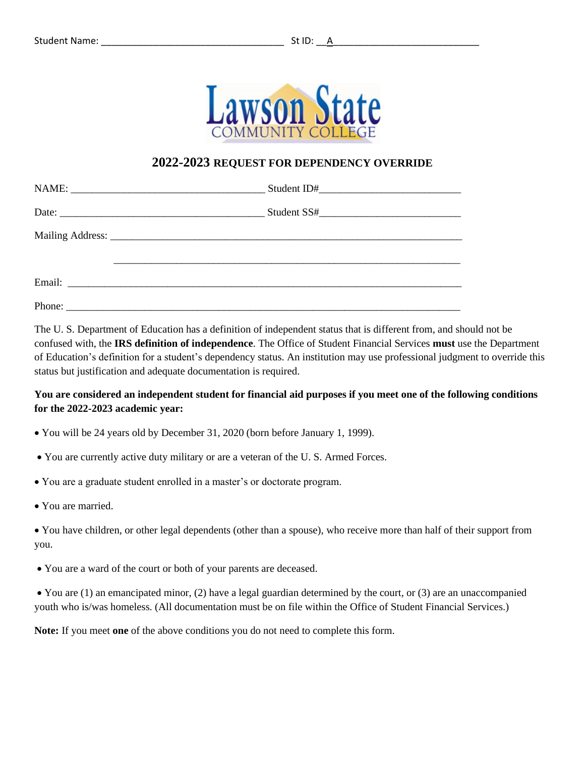

## **2022-2023 REQUEST FOR DEPENDENCY OVERRIDE**

The U. S. Department of Education has a definition of independent status that is different from, and should not be confused with, the **IRS definition of independence**. The Office of Student Financial Services **must** use the Department of Education's definition for a student's dependency status. An institution may use professional judgment to override this status but justification and adequate documentation is required.

# **You are considered an independent student for financial aid purposes if you meet one of the following conditions for the 2022-2023 academic year:**

- You will be 24 years old by December 31, 2020 (born before January 1, 1999).
- You are currently active duty military or are a veteran of the U. S. Armed Forces.
- You are a graduate student enrolled in a master's or doctorate program.
- You are married.

• You have children, or other legal dependents (other than a spouse), who receive more than half of their support from you.

• You are a ward of the court or both of your parents are deceased.

• You are (1) an emancipated minor, (2) have a legal guardian determined by the court, or (3) are an unaccompanied youth who is/was homeless. (All documentation must be on file within the Office of Student Financial Services.)

**Note:** If you meet **one** of the above conditions you do not need to complete this form.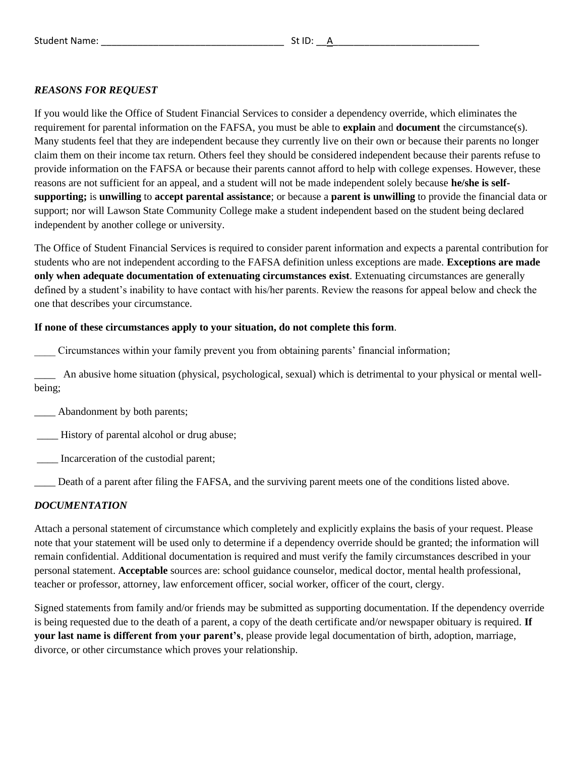## *REASONS FOR REQUEST*

If you would like the Office of Student Financial Services to consider a dependency override, which eliminates the requirement for parental information on the FAFSA, you must be able to **explain** and **document** the circumstance(s). Many students feel that they are independent because they currently live on their own or because their parents no longer claim them on their income tax return. Others feel they should be considered independent because their parents refuse to provide information on the FAFSA or because their parents cannot afford to help with college expenses. However, these reasons are not sufficient for an appeal, and a student will not be made independent solely because **he/she is selfsupporting;** is **unwilling** to **accept parental assistance**; or because a **parent is unwilling** to provide the financial data or support; nor will Lawson State Community College make a student independent based on the student being declared independent by another college or university.

The Office of Student Financial Services is required to consider parent information and expects a parental contribution for students who are not independent according to the FAFSA definition unless exceptions are made. **Exceptions are made only when adequate documentation of extenuating circumstances exist**. Extenuating circumstances are generally defined by a student's inability to have contact with his/her parents. Review the reasons for appeal below and check the one that describes your circumstance.

#### **If none of these circumstances apply to your situation, do not complete this form**.

\_\_\_\_ Circumstances within your family prevent you from obtaining parents' financial information;

\_\_\_\_ An abusive home situation (physical, psychological, sexual) which is detrimental to your physical or mental wellbeing;

\_\_\_\_ Abandonment by both parents;

\_\_\_\_ History of parental alcohol or drug abuse;

Incarceration of the custodial parent;

\_\_\_\_ Death of a parent after filing the FAFSA, and the surviving parent meets one of the conditions listed above.

### *DOCUMENTATION*

Attach a personal statement of circumstance which completely and explicitly explains the basis of your request. Please note that your statement will be used only to determine if a dependency override should be granted; the information will remain confidential. Additional documentation is required and must verify the family circumstances described in your personal statement. **Acceptable** sources are: school guidance counselor, medical doctor, mental health professional, teacher or professor, attorney, law enforcement officer, social worker, officer of the court, clergy.

Signed statements from family and/or friends may be submitted as supporting documentation. If the dependency override is being requested due to the death of a parent, a copy of the death certificate and/or newspaper obituary is required. **If your last name is different from your parent's**, please provide legal documentation of birth, adoption, marriage, divorce, or other circumstance which proves your relationship.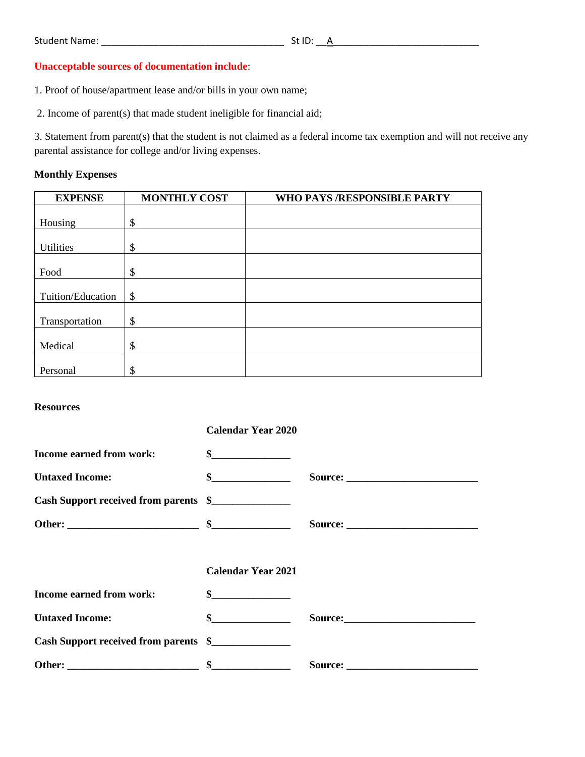# **Unacceptable sources of documentation include**:

1. Proof of house/apartment lease and/or bills in your own name;

2. Income of parent(s) that made student ineligible for financial aid;

3. Statement from parent(s) that the student is not claimed as a federal income tax exemption and will not receive any parental assistance for college and/or living expenses.

## **Monthly Expenses**

| <b>EXPENSE</b>    | <b>MONTHLY COST</b>       | WHO PAYS /RESPONSIBLE PARTY |
|-------------------|---------------------------|-----------------------------|
|                   |                           |                             |
| Housing           | \$                        |                             |
|                   |                           |                             |
| Utilities         | \$                        |                             |
|                   |                           |                             |
| Food              | \$                        |                             |
|                   |                           |                             |
| Tuition/Education | $\boldsymbol{\mathsf{S}}$ |                             |
|                   |                           |                             |
| Transportation    | \$                        |                             |
|                   |                           |                             |
| Medical           | \$                        |                             |
|                   |                           |                             |
| Personal          | \$                        |                             |

### **Resources**

|                                       | <b>Calendar Year 2020</b>   |                 |
|---------------------------------------|-----------------------------|-----------------|
| Income earned from work:              | $\frac{\text{S}}{\text{S}}$ |                 |
| <b>Untaxed Income:</b>                | $\frac{1}{2}$               |                 |
| Cash Support received from parents \$ |                             |                 |
|                                       |                             |                 |
|                                       |                             |                 |
|                                       | <b>Calendar Year 2021</b>   |                 |
| Income earned from work:              | $\sim$                      |                 |
| <b>Untaxed Income:</b>                | $\sim$                      | Source: Source: |
| Cash Support received from parents \$ |                             |                 |
|                                       |                             |                 |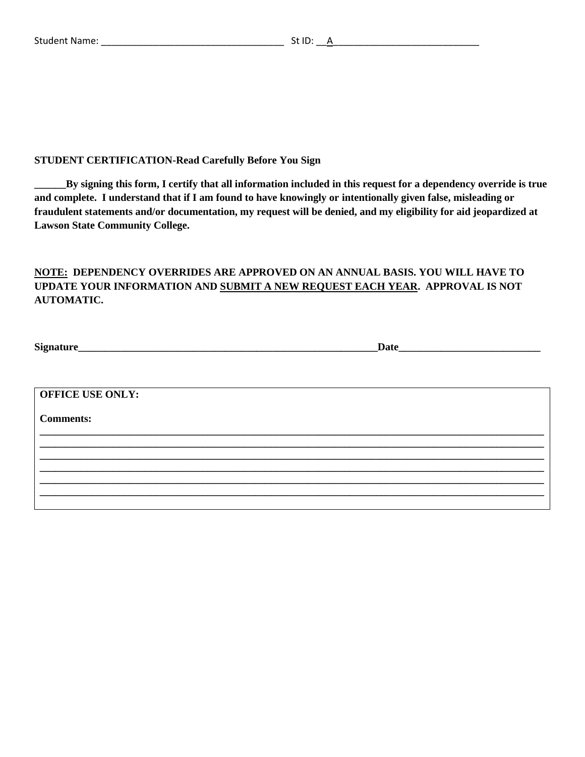### **STUDENT CERTIFICATION-Read Carefully Before You Sign**

**\_\_\_\_\_\_By signing this form, I certify that all information included in this request for a dependency override is true and complete. I understand that if I am found to have knowingly or intentionally given false, misleading or fraudulent statements and/or documentation, my request will be denied, and my eligibility for aid jeopardized at Lawson State Community College.**

# **NOTE: DEPENDENCY OVERRIDES ARE APPROVED ON AN ANNUAL BASIS. YOU WILL HAVE TO UPDATE YOUR INFORMATION AND SUBMIT A NEW REQUEST EACH YEAR. APPROVAL IS NOT AUTOMATIC.**

| Signature_              | Date |  |
|-------------------------|------|--|
|                         |      |  |
|                         |      |  |
| <b>OFFICE USE ONLY:</b> |      |  |
| <b>Comments:</b>        |      |  |
|                         |      |  |
|                         |      |  |
|                         |      |  |
|                         |      |  |
|                         |      |  |